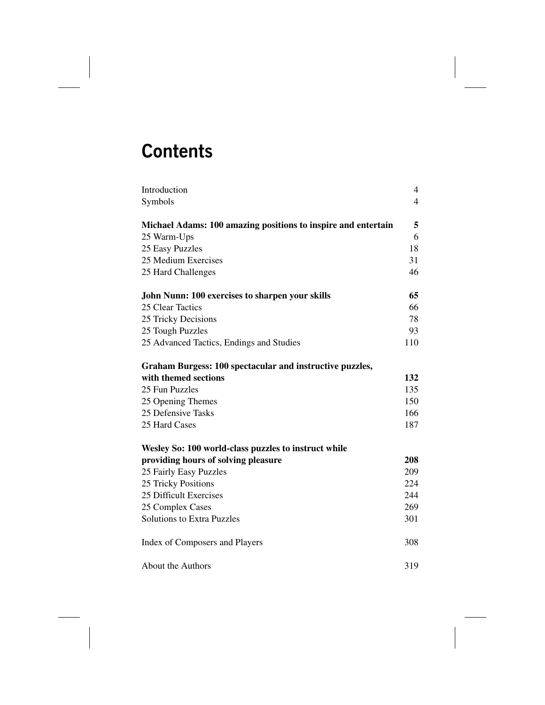# **Contents**

| Introduction                                                  | 4              |
|---------------------------------------------------------------|----------------|
| Symbols                                                       | $\overline{4}$ |
| Michael Adams: 100 amazing positions to inspire and entertain | 5              |
| 25 Warm-Ups                                                   | 6              |
| 25 Easy Puzzles                                               | 18             |
| 25 Medium Exercises                                           | 31             |
| 25 Hard Challenges                                            | 46             |
| John Nunn: 100 exercises to sharpen your skills               | 65             |
| 25 Clear Tactics                                              | 66             |
| 25 Tricky Decisions                                           | 78             |
| 25 Tough Puzzles                                              | 93             |
| 25 Advanced Tactics, Endings and Studies                      | 110            |
| Graham Burgess: 100 spectacular and instructive puzzles,      |                |
| with themed sections                                          | 132            |
| 25 Fun Puzzles                                                | 135            |
| 25 Opening Themes                                             | 150            |
| 25 Defensive Tasks                                            | 166            |
| 25 Hard Cases                                                 | 187            |
| Wesley So: 100 world-class puzzles to instruct while          |                |
| providing hours of solving pleasure                           | 208            |
| 25 Fairly Easy Puzzles                                        | 209            |
| 25 Tricky Positions                                           | 224            |
| 25 Difficult Exercises                                        | 244            |
| 25 Complex Cases                                              | 269            |
| <b>Solutions to Extra Puzzles</b>                             | 301            |
| Index of Composers and Players                                | 308            |
| About the Authors                                             | 319            |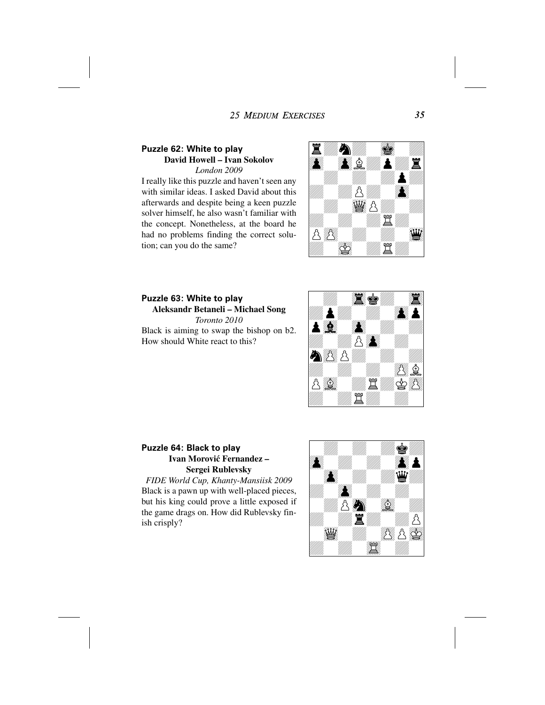#### **25 MEDIUM EXERCISES**

# **Puzzle 62: White to play David Howell – Ivan Sokolov**

*London 2009*

I really like this puzzle and haven't seen any with similar ideas. I asked David about this afterwards and despite being a keen puzzle solver himself, he also wasn't familiar with the concept. Nonetheless, at the board he had no problems finding the correct solution; can you do the same?



**Puzzle 63: White to play Aleksandr Betaneli – Michael Song** *Toronto 2010* Black is aiming to swap the bishop on b2. How should White react to this?



#### **Puzzle 64: Black to play Ivan Morović Fernandez – Sergei Rublevsky**

*FIDE World Cup, Khanty-Mansiisk 2009* Black is a pawn up with well-placed pieces, but his king could prove a little exposed if the game drags on. How did Rublevsky finish crisply?



*35*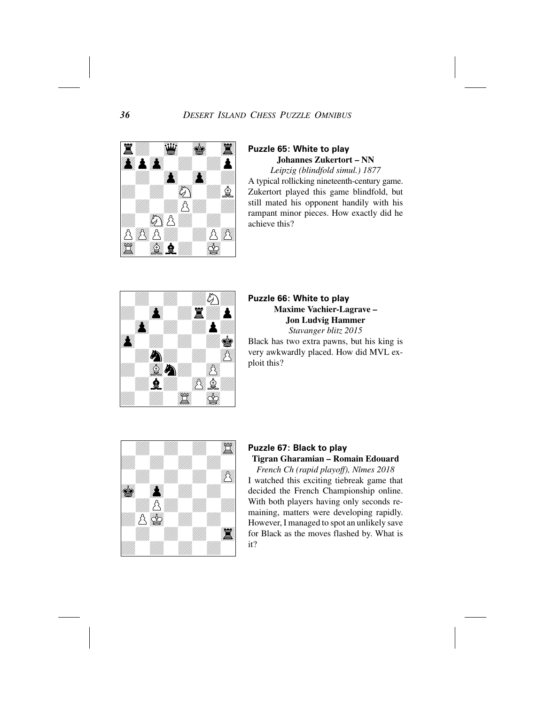

#### **Puzzle 65: White to play Johannes Zukertort – NN**

*Leipzig (blindfold simul.) 1877* A typical rollicking nineteenth-century game. Zukertort played this game blindfold, but still mated his opponent handily with his rampant minor pieces. How exactly did he achieve this?



# **Puzzle 66: White to play Maxime Vachier-Lagrave – Jon Ludvig Hammer** *Stavanger blitz 2015*

Black has two extra pawns, but his king is very awkwardly placed. How did MVL exploit this?



# **Puzzle 67: Black to play**

**Tigran Gharamian – Romain Edouard**

*French Ch (rapid playoff), Nîmes 2018* I watched this exciting tiebreak game that decided the French Championship online. With both players having only seconds remaining, matters were developing rapidly. However, I managed to spot an unlikely save for Black as the moves flashed by. What is it?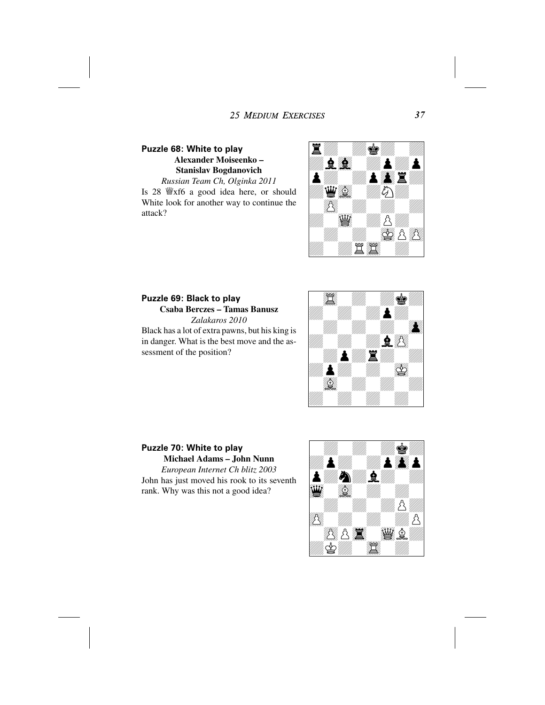#### **Puzzle 68: White to play Alexander Moiseenko – Stanislav Bogdanovich** *Russian Team Ch, Olginka 2011*

Is 28 Ëxf6 a good idea here, or should White look for another way to continue the attack?



## **Puzzle 69: Black to play Csaba Berczes – Tamas Banusz** *Zalakaros 2010*

Black has a lot of extra pawns, but his king is in danger. What is the best move and the assessment of the position?



**Puzzle 70: White to play Michael Adams – John Nunn** *European Internet Ch blitz 2003* John has just moved his rook to its seventh rank. Why was this not a good idea?

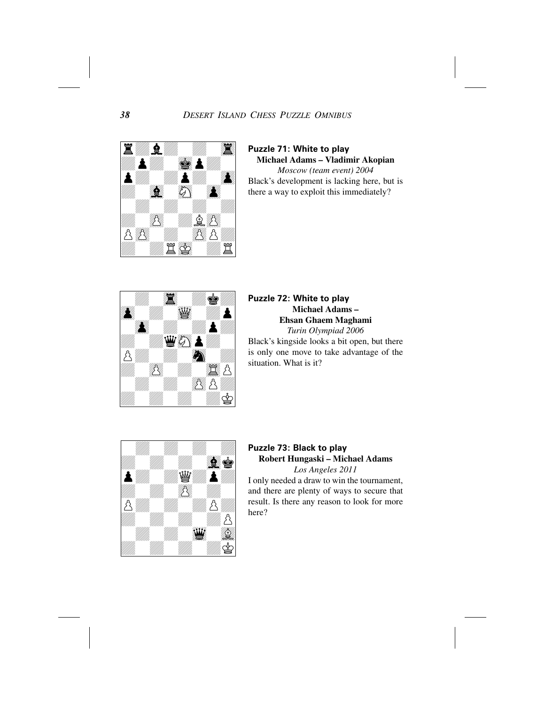

**Puzzle 71: White to play Michael Adams – Vladimir Akopian** *Moscow (team event) 2004* Black's development is lacking here, but is

there a way to exploit this immediately?



#### **Puzzle 72: White to play Michael Adams – Ehsan Ghaem Maghami** *Turin Olympiad 2006*

Black's kingside looks a bit open, but there is only one move to take advantage of the situation. What is it?



### **Puzzle 73: Black to play Robert Hungaski – Michael Adams**

*Los Angeles 2011* I only needed a draw to win the tournament, and there are plenty of ways to secure that result. Is there any reason to look for more here?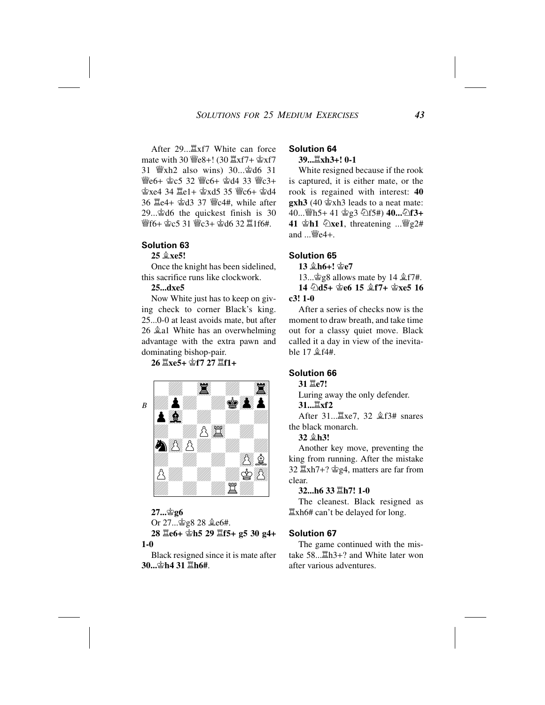After 29... axf7 White can force mate with 30  $\mathcal{L}e8+!$  (30  $\mathcal{Z}xf7+ \mathcal{Z}xf7$ 31 Ëxh2 also wins) 30...Êd6 31 **₩e6+ 含c5 32 ₩c6+ 含d4 33 ₩c3+** 含xe4 34 置e1+ 含xd5 35 響c6+ 含d4 36 Îe4+ Êd3 37 Ëc4#, while after 29...Êd6 the quickest finish is 30 營f6+ 空c5 31 營c3+ 空d6 32 罝1f6#.

#### **Solution 63**

#### **25 Íxe5!**

Once the knight has been sidelined, this sacrifice runs like clockwork.

#### **25...dxe5**

Now White just has to keep on giving check to corner Black's king. 25...0-0 at least avoids mate, but after 26  $\angle$  al White has an overwhelming advantage with the extra pawn and dominating bishop-pair.

**26 Îxe5+ Êf7 27 Îf1+**



#### **27...Êg6**

Or 27... ஜ்g8 28 ஜீe6#. **28 Îe6+ Êh5 29 Îf5+ g5 30 g4+**

**1-0**

Black resigned since it is mate after **30...Êh4 31 Îh6#**.

#### **Solution 64**

#### **39...Îxh3+! 0-1**

White resigned because if the rook is captured, it is either mate, or the rook is regained with interest: **40 gxh3** (40 Êxh3 leads to a neat mate: 40... ∰h5+ 41 ≌g3 *Df5*#) **40...** *Df*3+ **41**  $\Phi$ **h1**  $\Phi$ **xe1**, threatening ...  $\Psi$ g2# and ...Ëe4+.

#### **Solution 65**

**13 Íh6+! Êe7**

13... $\hat{\otimes}$ g8 allows mate by 14  $\hat{\otimes}$  f7#. **14**  $\triangle$ **d5+**  $\triangle$ **e6 15**  $\triangle$ **f7+**  $\triangle$ **xe5 16 c3! 1-0**

After a series of checks now is the moment to draw breath, and take time out for a classy quiet move. Black called it a day in view of the inevitable  $17 \n\& f4\#$ .

#### **Solution 66**

**31 Îe7!**

Luring away the only defender. **31...Îxf2**

After 31... *<u>Exe7</u>*, 32  $2$  *£*f3# snares the black monarch.

**32 Íh3!**

Another key move, preventing the king from running. After the mistake 32 Îxh7+? Êg4, matters are far from clear.

#### **32...h6 33 Îh7! 1-0**

The cleanest. Black resigned as Îxh6# can't be delayed for long.

#### **Solution 67**

The game continued with the mistake 58... LLh3+? and White later won after various adventures.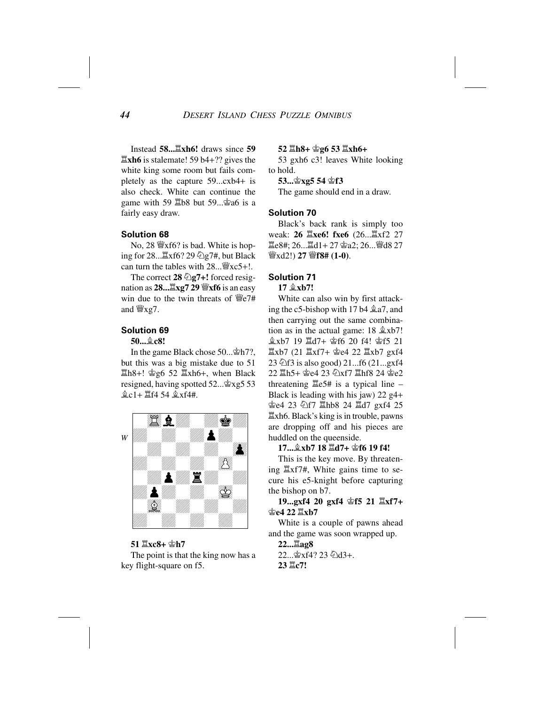Instead **58...Îxh6!** draws since **59 Îxh6** is stalemate! 59 b4+?? gives the white king some room but fails completely as the capture 59...cxb4+ is also check. White can continue the game with 59  $\Xi$ b8 but 59... $\hat{\mathscr{L}}$ a6 is a fairly easy draw.

#### **Solution 68**

No, 28  $\mathcal{W}$ xf6? is bad. White is hoping for  $28 \dots \Xi$ xf6? 29  $\Diamond$ g7#, but Black can turn the tables with  $28...$   $\frac{10}{25}$  xc5+!.

The correct 28  $\bigcirc$  g7+! forced resignation as **28...Îxg7 29 Ëxf6** is an easy win due to the twin threats of  $\mathcal{C}_2$  /# and  $\mathscr{W}$ <sub>xg</sub>7.

#### **Solution 69**

**50...Íc8!**

In the game Black chose 50...  $\hat{\Phi}h7$ ?, but this was a big mistake due to 51  $\Xi$ h8+!  $\angle$ g6 52  $\Xi$ xh6+, when Black resigned, having spotted 52...  $\hat{\mathbb{E}}$ xg5 53  $\&c1+ \Xi f4 54 \&xf4+.$ 



**51 Îxc8+ Êh7** The point is that the king now has a key flight-square on f5.

#### **52 Îh8+ Êg6 53 Îxh6+**

53 gxh6 c3! leaves White looking to hold.

**53...Êxg5 54 Êf3**

The game should end in a draw.

#### **Solution 70**

Black's back rank is simply too weak: **26 里xe6! fxe6** (26...里xf2 27 **置e8#; 26...置d1+ 27 查a2; 26... 譬d8 27** Ëxd2!) **27 Ëf8# (1-0)**.

#### **Solution 71**

17  $\&$ **xb7!** 

White can also win by first attacking the c5-bishop with 17 b4  $\triangleq$  a7, and then carrying out the same combination as in the actual game:  $18 \text{ \&xb7}$ ! **盒xb7 19 罝d7+ 杳f6 20 f4! 當f5 21**  $\Xi$ xb7 (21  $\Xi$ xf7+  $\dot{\Phi}$ e4 22  $\Xi$ xb7 gxf4 23  $\text{\textdegreeled{2}1}$  is also good) 21...f6 (21...gxf4 22 国h5+ 舍e4 23 公xf7 国hf8 24 舍e2 threatening  $\Xi e$ 5# is a typical line – Black is leading with his jaw) 22 g4+ ≌e4 23 ۞f7  $\Xi$ hb8 24  $\Xi$ d7 gxf4 25 Îxh6. Black's king is in trouble, pawns are dropping off and his pieces are huddled on the queenside.

**17...**愈xb7 18  $\Xi$ d7+ 含f6 19 f4!

This is the key move. By threatening Îxf7#, White gains time to secure his e5-knight before capturing the bishop on b7.

#### **19...gxf4 20 gxf4 Êf5 21 Îxf7+** 含e4 22  $\Xi$ xb7

White is a couple of pawns ahead and the game was soon wrapped up.

**22...Îag8** 22... 宫xf4? 23 ②d3+. **23 Îc7!**